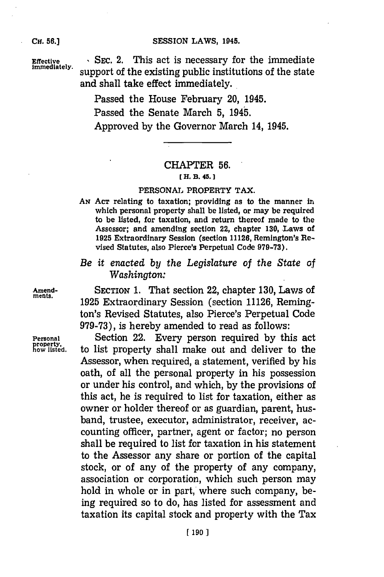## SESSION LAWS, 1945.

**CH. 56.]**

**Effective , SEC. 2.** This act is necessary for the immediate immediate support of the existing public institutions of the state and shall take effect immediately.

> Passed the House February 20, 1945. Passed the Senate March **5,** 1945. Approved **by** the Governor March 14, 1945.

## CHAPTER **56.**

## *H f.* **33. 45.]1**

### **PERSONAL** PROPERTY TAX.

- *AN* **ACT** relating to taxation; providing as to the manner in which personal property shall be listed, or may be required to be listed, for taxation, and return thereof made to the Assessor; and amending section 22, chapter **130,** Laws of **1925** Extraordinary Session (section **11126,** Remington's Revised Statutes, also Pierce's Perpetual Code **979-73).**
- *Be it enacted by* the *Legislature of the State of Washington:*

**Amend-** SECTION **1.** That section 22, chapter **130,** Laws of ments. **1925** Extraordinary Session (section **11126,** Remington's Revised Statutes, also Pierce's Perpetual Code **979-73),** is hereby amended to read as follows:

**Personal** Section 22. Every person required **by** this act to list property shall make out and deliver to the Assessor, when required, a statement, verified **by** his oath, of all the personal property in his possession or under his control, and which, **by** the provisions of this act, he is required to list for taxation, either as owner or holder thereof or as guardian, parent, husband, trustee, executor, administrator, receiver, accounting officer, partner, agent or factor; no person shall be required to list for taxation in his statement to the Assessor any share or portion of the capital stock, or of any of the property of any company, association or corporation, which such person may hold in whole or in part, where such company, being required so to do, has listed for assessment and taxation its capital stock and property with the Tax

property,<br>how listed.